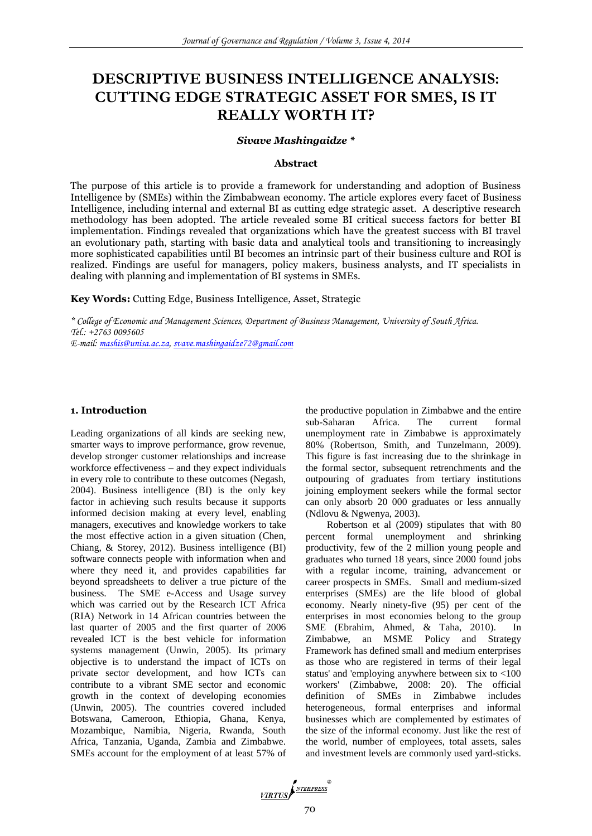# **DESCRIPTIVE BUSINESS INTELLIGENCE ANALYSIS: CUTTING EDGE STRATEGIC ASSET FOR SMES, IS IT REALLY WORTH IT?**

### *Sivave Mashingaidze \**

#### **Abstract**

The purpose of this article is to provide a framework for understanding and adoption of Business Intelligence by (SMEs) within the Zimbabwean economy. The article explores every facet of Business Intelligence, including internal and external BI as cutting edge strategic asset. A descriptive research methodology has been adopted. The article revealed some BI critical success factors for better BI implementation. Findings revealed that organizations which have the greatest success with BI travel an evolutionary path, starting with basic data and analytical tools and transitioning to increasingly more sophisticated capabilities until BI becomes an intrinsic part of their business culture and ROI is realized. Findings are useful for managers, policy makers, business analysts, and IT specialists in dealing with planning and implementation of BI systems in SMEs.

**Key Words:** Cutting Edge, Business Intelligence, Asset, Strategic

*\* College of Economic and Management Sciences, Department of Business Management, University of South Africa. Tel.: +2763 0095605*

*E-mail: [mashis@unisa.ac.za,](mailto:mashis@unisa.ac.za) [svave.mashingaidze72@gmail.com](mailto:svave.mashingaidze72@gmail.com)*

### **1. Introduction**

Leading organizations of all kinds are seeking new, smarter ways to improve performance, grow revenue, develop stronger customer relationships and increase workforce effectiveness – and they expect individuals in every role to contribute to these outcomes (Negash, 2004). Business intelligence (BI) is the only key factor in achieving such results because it supports informed decision making at every level, enabling managers, executives and knowledge workers to take the most effective action in a given situation (Chen, Chiang, & Storey, 2012). Business intelligence (BI) software connects people with information when and where they need it, and provides capabilities far beyond spreadsheets to deliver a true picture of the business. The SME e-Access and Usage survey which was carried out by the Research ICT Africa (RIA) Network in 14 African countries between the last quarter of 2005 and the first quarter of 2006 revealed ICT is the best vehicle for information systems management (Unwin, 2005). Its primary objective is to understand the impact of ICTs on private sector development, and how ICTs can contribute to a vibrant SME sector and economic growth in the context of developing economies (Unwin, 2005). The countries covered included Botswana, Cameroon, Ethiopia, Ghana, Kenya, Mozambique, Namibia, Nigeria, Rwanda, South Africa, Tanzania, Uganda, Zambia and Zimbabwe. SMEs account for the employment of at least 57% of

the productive population in Zimbabwe and the entire sub-Saharan Africa. The current formal unemployment rate in Zimbabwe is approximately 80% (Robertson, Smith, and Tunzelmann, 2009). This figure is fast increasing due to the shrinkage in the formal sector, subsequent retrenchments and the outpouring of graduates from tertiary institutions joining employment seekers while the formal sector can only absorb 20 000 graduates or less annually (Ndlovu & Ngwenya, 2003).

Robertson et al (2009) stipulates that with 80 percent formal unemployment and shrinking productivity, few of the 2 million young people and graduates who turned 18 years, since 2000 found jobs with a regular income, training, advancement or career prospects in SMEs. Small and medium-sized enterprises (SMEs) are the life blood of global economy. Nearly ninety-five (95) per cent of the enterprises in most economies belong to the group SME (Ebrahim, Ahmed, & Taha, 2010). In Zimbabwe, an MSME Policy and Strategy Framework has defined small and medium enterprises as those who are registered in terms of their legal status' and 'employing anywhere between six to <100 workers' (Zimbabwe, 2008: 20). The official definition of SMEs in Zimbabwe includes heterogeneous, formal enterprises and informal businesses which are complemented by estimates of the size of the informal economy. Just like the rest of the world, number of employees, total assets, sales and investment levels are commonly used yard-sticks.

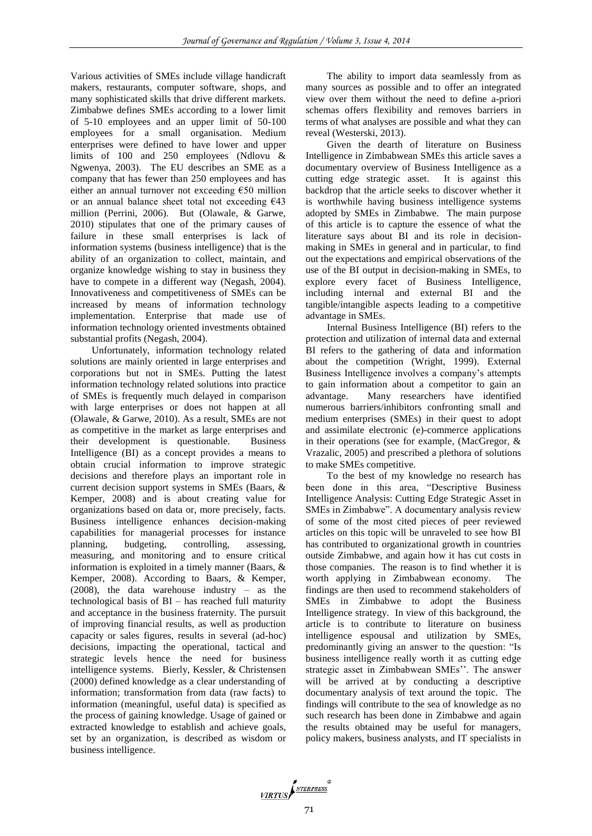Various activities of SMEs include village handicraft makers, restaurants, computer software, shops, and many sophisticated skills that drive different markets. Zimbabwe defines SMEs according to a lower limit of 5-10 employees and an upper limit of 50-100 employees for a small organisation. Medium enterprises were defined to have lower and upper limits of 100 and 250 employees (Ndlovu & Ngwenya, 2003). The EU describes an SME as a company that has fewer than 250 employees and has either an annual turnover not exceeding €50 million or an annual balance sheet total not exceeding €43 million (Perrini, 2006). But (Olawale, & Garwe, 2010) stipulates that one of the primary causes of failure in these small enterprises is lack of information systems (business intelligence) that is the ability of an organization to collect, maintain, and organize knowledge wishing to stay in business they have to compete in a different way (Negash, 2004). Innovativeness and competitiveness of SMEs can be increased by means of information technology implementation. Enterprise that made use of information technology oriented investments obtained substantial profits (Negash, 2004).

Unfortunately, information technology related solutions are mainly oriented in large enterprises and corporations but not in SMEs. Putting the latest information technology related solutions into practice of SMEs is frequently much delayed in comparison with large enterprises or does not happen at all (Olawale, & Garwe, 2010). As a result, SMEs are not as competitive in the market as large enterprises and their development is questionable. Business Intelligence (BI) as a concept provides a means to obtain crucial information to improve strategic decisions and therefore plays an important role in current decision support systems in SMEs (Baars, & Kemper, 2008) and is about creating value for organizations based on data or, more precisely, facts. Business intelligence enhances decision-making capabilities for managerial processes for instance planning, budgeting, controlling, assessing, measuring, and monitoring and to ensure critical information is exploited in a timely manner (Baars, & Kemper, 2008). According to Baars, & Kemper, (2008), the data warehouse industry – as the technological basis of BI – has reached full maturity and acceptance in the business fraternity. The pursuit of improving financial results, as well as production capacity or sales figures, results in several (ad-hoc) decisions, impacting the operational, tactical and strategic levels hence the need for business intelligence systems. Bierly, Kessler, & Christensen (2000) defined knowledge as a clear understanding of information; transformation from data (raw facts) to information (meaningful, useful data) is specified as the process of gaining knowledge. Usage of gained or extracted knowledge to establish and achieve goals, set by an organization, is described as wisdom or business intelligence.

The ability to import data seamlessly from as many sources as possible and to offer an integrated view over them without the need to define a-priori schemas offers flexibility and removes barriers in terms of what analyses are possible and what they can reveal (Westerski, 2013).

Given the dearth of literature on Business Intelligence in Zimbabwean SMEs this article saves a documentary overview of Business Intelligence as a cutting edge strategic asset. It is against this backdrop that the article seeks to discover whether it is worthwhile having business intelligence systems adopted by SMEs in Zimbabwe. The main purpose of this article is to capture the essence of what the literature says about BI and its role in decisionmaking in SMEs in general and in particular, to find out the expectations and empirical observations of the use of the BI output in decision-making in SMEs, to explore every facet of Business Intelligence, including internal and external BI and the tangible/intangible aspects leading to a competitive advantage in SMEs.

Internal Business Intelligence (BI) refers to the protection and utilization of internal data and external BI refers to the gathering of data and information about the competition (Wright, 1999). External Business Intelligence involves a company's attempts to gain information about a competitor to gain an advantage. Many researchers have identified numerous barriers/inhibitors confronting small and medium enterprises (SMEs) in their quest to adopt and assimilate electronic (e)-commerce applications in their operations (see for example, (MacGregor, & Vrazalic, 2005) and prescribed a plethora of solutions to make SMEs competitive.

To the best of my knowledge no research has been done in this area, "Descriptive Business Intelligence Analysis: Cutting Edge Strategic Asset in SMEs in Zimbabwe". A documentary analysis review of some of the most cited pieces of peer reviewed articles on this topic will be unraveled to see how BI has contributed to organizational growth in countries outside Zimbabwe, and again how it has cut costs in those companies. The reason is to find whether it is worth applying in Zimbabwean economy. The findings are then used to recommend stakeholders of SMEs in Zimbabwe to adopt the Business Intelligence strategy. In view of this background, the article is to contribute to literature on business intelligence espousal and utilization by SMEs, predominantly giving an answer to the question: "Is business intelligence really worth it as cutting edge strategic asset in Zimbabwean SMEs''. The answer will be arrived at by conducting a descriptive documentary analysis of text around the topic. The findings will contribute to the sea of knowledge as no such research has been done in Zimbabwe and again the results obtained may be useful for managers, policy makers, business analysts, and IT specialists in

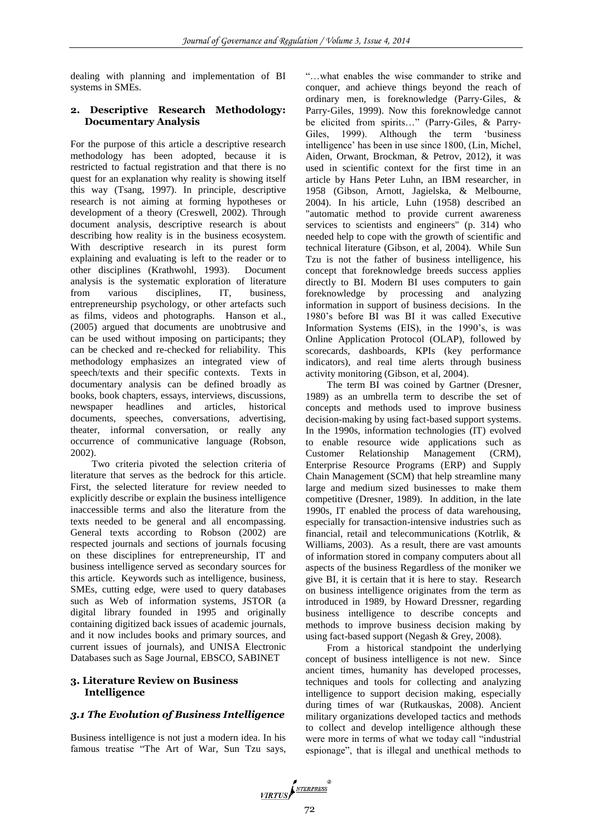dealing with planning and implementation of BI systems in SMEs.

## **2. Descriptive Research Methodology: Documentary Analysis**

For the purpose of this article a descriptive research methodology has been adopted, because it is restricted to factual registration and that there is no quest for an explanation why reality is showing itself this way (Tsang, 1997). In principle, descriptive research is not aiming at forming hypotheses or development of a theory (Creswell, 2002). Through document analysis, descriptive research is about describing how reality is in the business ecosystem. With descriptive research in its purest form explaining and evaluating is left to the reader or to other disciplines (Krathwohl, 1993). Document analysis is the systematic exploration of literature from various disciplines, IT, business, entrepreneurship psychology, or other artefacts such as films, videos and photographs. Hanson et al., (2005) argued that documents are unobtrusive and can be used without imposing on participants; they can be checked and re-checked for reliability. This methodology emphasizes an integrated view of speech/texts and their specific contexts. Texts in documentary analysis can be defined broadly as books, book chapters, essays, interviews, discussions, newspaper headlines and articles, historical documents, speeches, conversations, advertising, theater, informal conversation, or really any occurrence of communicative language (Robson, 2002).

Two criteria pivoted the selection criteria of literature that serves as the bedrock for this article. First, the selected literature for review needed to explicitly describe or explain the business intelligence inaccessible terms and also the literature from the texts needed to be general and all encompassing. General texts according to Robson (2002) are respected journals and sections of journals focusing on these disciplines for entrepreneurship, IT and business intelligence served as secondary sources for this article. Keywords such as intelligence, business, SMEs, cutting edge, were used to query databases such as Web of information systems, JSTOR (a digital library founded in 1995 and originally containing digitized back issues of academic journals, and it now includes books and primary sources, and current issues of journals), and UNISA Electronic Databases such as Sage Journal, EBSCO, SABINET

## **3. Literature Review on Business Intelligence**

## *3.1 The Evolution of Business Intelligence*

Business intelligence is not just a modern idea. In his famous treatise "The Art of War, Sun Tzu says,

"…what enables the wise commander to strike and conquer, and achieve things beyond the reach of ordinary men, is foreknowledge (Parry‐Giles, & Parry‐Giles, 1999). Now this foreknowledge cannot be elicited from spirits…" (Parry‐Giles, & Parry‐ Giles, 1999). Although the term 'business intelligence' has been in use since 1800, (Lin, Michel, Aiden, Orwant, Brockman, & Petrov, 2012), it was used in scientific context for the first time in an article by Hans Peter Luhn, an IBM researcher, in 1958 (Gibson, Arnott, Jagielska, & Melbourne, 2004). In his article, Luhn (1958) described an "automatic method to provide current awareness services to scientists and engineers" (p. 314) who needed help to cope with the growth of scientific and technical literature (Gibson, et al, 2004). While Sun Tzu is not the father of business intelligence, his concept that foreknowledge breeds success applies directly to BI. Modern BI uses computers to gain foreknowledge by processing and analyzing information in support of business decisions. In the 1980's before BI was BI it was called Executive Information Systems (EIS), in the 1990's, is was Online Application Protocol (OLAP), followed by scorecards, dashboards, KPIs (key performance indicators), and real time alerts through business activity monitoring (Gibson, et al, 2004).

The term BI was coined by Gartner (Dresner, 1989) as an umbrella term to describe the set of concepts and methods used to improve business decision-making by using fact-based support systems. In the 1990s, information technologies (IT) evolved to enable resource wide applications such as Customer Relationship Management (CRM), Enterprise Resource Programs (ERP) and Supply Chain Management (SCM) that help streamline many large and medium sized businesses to make them competitive (Dresner, 1989). In addition, in the late 1990s, IT enabled the process of data warehousing, especially for transaction-intensive industries such as financial, retail and telecommunications (Kotrlik, & Williams, 2003). As a result, there are vast amounts of information stored in company computers about all aspects of the business Regardless of the moniker we give BI, it is certain that it is here to stay. Research on business intelligence originates from the term as introduced in 1989, by Howard Dressner, regarding business intelligence to describe concepts and methods to improve business decision making by using fact-based support (Negash & Grey, 2008).

From a historical standpoint the underlying concept of business intelligence is not new. Since ancient times, humanity has developed processes, techniques and tools for collecting and analyzing intelligence to support decision making, especially during times of war (Rutkauskas, 2008). Ancient military organizations developed tactics and methods to collect and develop intelligence although these were more in terms of what we today call "industrial espionage", that is illegal and unethical methods to

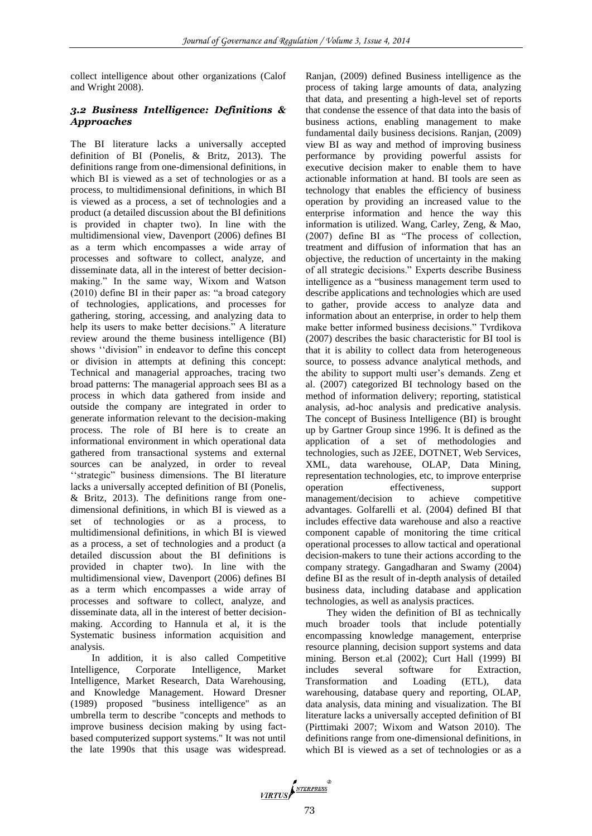collect intelligence about other organizations (Calof and Wright 2008).

## *3.2 Business Intelligence: Definitions & Approaches*

The BI literature lacks a universally accepted definition of BI (Ponelis, & Britz, 2013). The definitions range from one-dimensional definitions, in which BI is viewed as a set of technologies or as a process, to multidimensional definitions, in which BI is viewed as a process, a set of technologies and a product (a detailed discussion about the BI definitions is provided in chapter two). In line with the multidimensional view, Davenport (2006) defines BI as a term which encompasses a wide array of processes and software to collect, analyze, and disseminate data, all in the interest of better decisionmaking." In the same way, Wixom and Watson (2010) define BI in their paper as: "a broad category of technologies, applications, and processes for gathering, storing, accessing, and analyzing data to help its users to make better decisions." A literature review around the theme business intelligence (BI) shows ''division" in endeavor to define this concept or division in attempts at defining this concept: Technical and managerial approaches, tracing two broad patterns: The managerial approach sees BI as a process in which data gathered from inside and outside the company are integrated in order to generate information relevant to the decision-making process. The role of BI here is to create an informational environment in which operational data gathered from transactional systems and external sources can be analyzed, in order to reveal ''strategic" business dimensions. The BI literature lacks a universally accepted definition of BI (Ponelis, & Britz, 2013). The definitions range from onedimensional definitions, in which BI is viewed as a set of technologies or as a process, to multidimensional definitions, in which BI is viewed as a process, a set of technologies and a product (a detailed discussion about the BI definitions is provided in chapter two). In line with the multidimensional view, Davenport (2006) defines BI as a term which encompasses a wide array of processes and software to collect, analyze, and disseminate data, all in the interest of better decisionmaking. According to Hannula et al, it is the Systematic business information acquisition and analysis.

In addition, it is also called Competitive Intelligence, Corporate Intelligence, Market Intelligence, Market Research, Data Warehousing, and Knowledge Management. Howard Dresner (1989) proposed "business intelligence" as an umbrella term to describe "concepts and methods to improve business decision making by using factbased computerized support systems." It was not until the late 1990s that this usage was widespread. Ranjan, (2009) defined Business intelligence as the process of taking large amounts of data, analyzing that data, and presenting a high-level set of reports that condense the essence of that data into the basis of business actions, enabling management to make fundamental daily business decisions. Ranjan, (2009) view BI as way and method of improving business performance by providing powerful assists for executive decision maker to enable them to have actionable information at hand. BI tools are seen as technology that enables the efficiency of business operation by providing an increased value to the enterprise information and hence the way this information is utilized. Wang, Carley, Zeng, & Mao, (2007) define BI as "The process of collection, treatment and diffusion of information that has an objective, the reduction of uncertainty in the making of all strategic decisions." Experts describe Business intelligence as a "business management term used to describe applications and technologies which are used to gather, provide access to analyze data and information about an enterprise, in order to help them make better informed business decisions." Tvrdikova (2007) describes the basic characteristic for BI tool is that it is ability to collect data from heterogeneous source, to possess advance analytical methods, and the ability to support multi user's demands. Zeng et al. (2007) categorized BI technology based on the method of information delivery; reporting, statistical analysis, ad-hoc analysis and predicative analysis. The concept of Business Intelligence (BI) is brought up by Gartner Group since 1996. It is defined as the application of a set of methodologies and technologies, such as J2EE, DOTNET, Web Services, XML, data warehouse, OLAP, Data Mining, representation technologies, etc, to improve enterprise operation effectiveness, support management/decision to achieve competitive advantages. Golfarelli et al. (2004) defined BI that includes effective data warehouse and also a reactive component capable of monitoring the time critical operational processes to allow tactical and operational decision-makers to tune their actions according to the company strategy. Gangadharan and Swamy (2004) define BI as the result of in-depth analysis of detailed business data, including database and application technologies, as well as analysis practices.

They widen the definition of BI as technically much broader tools that include potentially encompassing knowledge management, enterprise resource planning, decision support systems and data mining. Berson et.al (2002); Curt Hall (1999) BI includes several software for Extraction, Transformation and Loading (ETL), data warehousing, database query and reporting, OLAP, data analysis, data mining and visualization. The BI literature lacks a universally accepted definition of BI (Pirttimaki 2007; Wixom and Watson 2010). The definitions range from one-dimensional definitions, in which BI is viewed as a set of technologies or as a

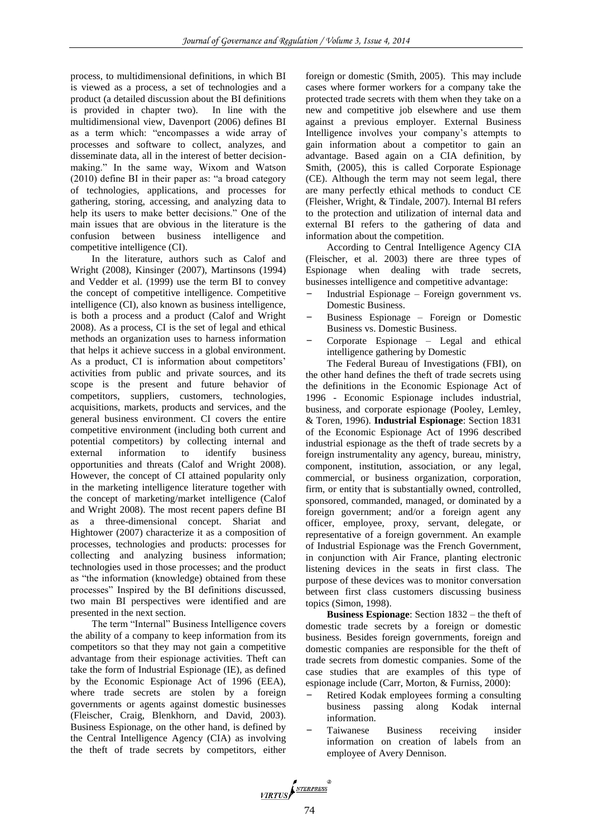process, to multidimensional definitions, in which BI is viewed as a process, a set of technologies and a product (a detailed discussion about the BI definitions is provided in chapter two). In line with the multidimensional view, Davenport (2006) defines BI as a term which: "encompasses a wide array of processes and software to collect, analyzes, and disseminate data, all in the interest of better decisionmaking." In the same way, Wixom and Watson (2010) define BI in their paper as: "a broad category of technologies, applications, and processes for gathering, storing, accessing, and analyzing data to help its users to make better decisions." One of the main issues that are obvious in the literature is the confusion between business intelligence and competitive intelligence (CI).

In the literature, authors such as Calof and Wright (2008), Kinsinger (2007), Martinsons (1994) and Vedder et al. (1999) use the term BI to convey the concept of competitive intelligence. Competitive intelligence (CI), also known as business intelligence, is both a process and a product (Calof and Wright 2008). As a process, CI is the set of legal and ethical methods an organization uses to harness information that helps it achieve success in a global environment. As a product, CI is information about competitors' activities from public and private sources, and its scope is the present and future behavior of competitors, suppliers, customers, technologies, acquisitions, markets, products and services, and the general business environment. CI covers the entire competitive environment (including both current and potential competitors) by collecting internal and external information to identify business opportunities and threats (Calof and Wright 2008). However, the concept of CI attained popularity only in the marketing intelligence literature together with the concept of marketing/market intelligence (Calof and Wright 2008). The most recent papers define BI as a three-dimensional concept. Shariat and Hightower (2007) characterize it as a composition of processes, technologies and products: processes for collecting and analyzing business information; technologies used in those processes; and the product as "the information (knowledge) obtained from these processes" Inspired by the BI definitions discussed, two main BI perspectives were identified and are presented in the next section.

The term "Internal" Business Intelligence covers the ability of a company to keep information from its competitors so that they may not gain a competitive advantage from their espionage activities. Theft can take the form of Industrial Espionage (IE), as defined by the Economic Espionage Act of 1996 (EEA), where trade secrets are stolen by a foreign governments or agents against domestic businesses (Fleischer, Craig, Blenkhorn, and David, 2003). Business Espionage, on the other hand, is defined by the Central Intelligence Agency (CIA) as involving the theft of trade secrets by competitors, either

foreign or domestic (Smith, 2005). This may include cases where former workers for a company take the protected trade secrets with them when they take on a new and competitive job elsewhere and use them against a previous employer. External Business Intelligence involves your company's attempts to gain information about a competitor to gain an advantage. Based again on a CIA definition, by Smith, (2005), this is called Corporate Espionage (CE). Although the term may not seem legal, there are many perfectly ethical methods to conduct CE (Fleisher, Wright, & Tindale, 2007). Internal BI refers to the protection and utilization of internal data and external BI refers to the gathering of data and information about the competition.

According to Central Intelligence Agency CIA (Fleischer, et al. 2003) there are three types of Espionage when dealing with trade secrets, businesses intelligence and competitive advantage:

- Industrial Espionage Foreign government vs. Domestic Business.
- Business Espionage Foreign or Domestic Business vs. Domestic Business.
- Corporate Espionage Legal and ethical intelligence gathering by Domestic

The Federal Bureau of Investigations (FBI), on the other hand defines the theft of trade secrets using the definitions in the Economic Espionage Act of 1996 - Economic Espionage includes industrial, business, and corporate espionage (Pooley, Lemley, & Toren, 1996). **Industrial Espionage**: Section 1831 of the Economic Espionage Act of 1996 described industrial espionage as the theft of trade secrets by a foreign instrumentality any agency, bureau, ministry, component, institution, association, or any legal, commercial, or business organization, corporation, firm, or entity that is substantially owned, controlled, sponsored, commanded, managed, or dominated by a foreign government; and/or a foreign agent any officer, employee, proxy, servant, delegate, or representative of a foreign government. An example of Industrial Espionage was the French Government, in conjunction with Air France, planting electronic listening devices in the seats in first class. The purpose of these devices was to monitor conversation between first class customers discussing business topics (Simon, 1998).

**Business Espionage**: Section 1832 – the theft of domestic trade secrets by a foreign or domestic business. Besides foreign governments, foreign and domestic companies are responsible for the theft of trade secrets from domestic companies. Some of the case studies that are examples of this type of espionage include (Carr, Morton, & Furniss, 2000):

- Retired Kodak employees forming a consulting business passing along Kodak internal information.
- Taiwanese Business receiving insider information on creation of labels from an employee of Avery Dennison.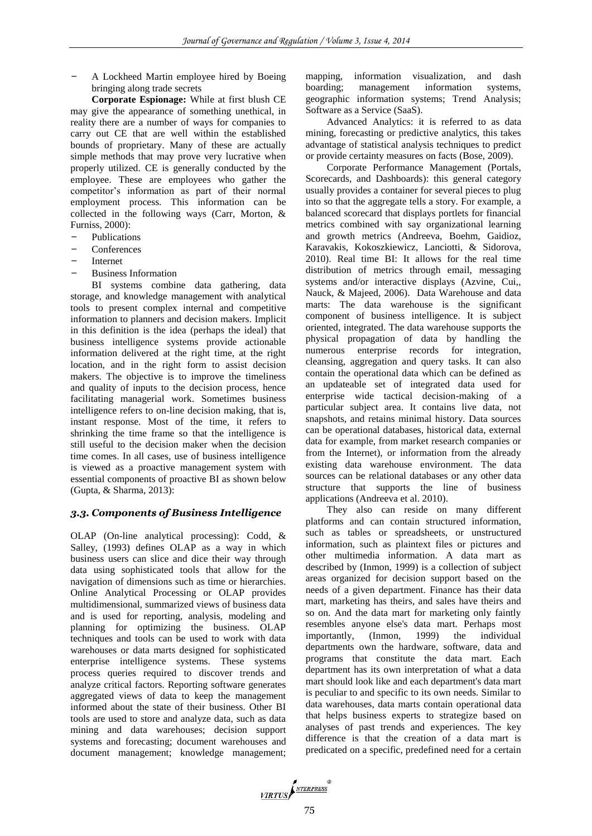A Lockheed Martin employee hired by Boeing bringing along trade secrets

**Corporate Espionage:** While at first blush CE may give the appearance of something unethical, in reality there are a number of ways for companies to carry out CE that are well within the established bounds of proprietary. Many of these are actually simple methods that may prove very lucrative when properly utilized. CE is generally conducted by the employee. These are employees who gather the competitor's information as part of their normal employment process. This information can be collected in the following ways (Carr, Morton, & Furniss, 2000):

- **Publications**
- Conferences
- **Internet**
- Business Information

BI systems combine data gathering, data storage, and knowledge management with analytical tools to present complex internal and competitive information to planners and decision makers. Implicit in this definition is the idea (perhaps the ideal) that business intelligence systems provide actionable information delivered at the right time, at the right location, and in the right form to assist decision makers. The objective is to improve the timeliness and quality of inputs to the decision process, hence facilitating managerial work. Sometimes business intelligence refers to on-line decision making, that is, instant response. Most of the time, it refers to shrinking the time frame so that the intelligence is still useful to the decision maker when the decision time comes. In all cases, use of business intelligence is viewed as a proactive management system with essential components of proactive BI as shown below (Gupta, & Sharma, 2013):

## *3.3. Components of Business Intelligence*

OLAP (On-line analytical processing): Codd, & Salley, (1993) defines OLAP as a way in which business users can slice and dice their way through data using sophisticated tools that allow for the navigation of dimensions such as time or hierarchies. Online Analytical Processing or OLAP provides multidimensional, summarized views of business data and is used for reporting, analysis, modeling and planning for optimizing the business. OLAP techniques and tools can be used to work with data warehouses or data marts designed for sophisticated enterprise intelligence systems. These systems process queries required to discover trends and analyze critical factors. Reporting software generates aggregated views of data to keep the management informed about the state of their business. Other BI tools are used to store and analyze data, such as data mining and data warehouses; decision support systems and forecasting; document warehouses and document management; knowledge management;

mapping, information visualization, and dash boarding; management information systems, geographic information systems; Trend Analysis; Software as a Service (SaaS).

Advanced Analytics: it is referred to as data mining, forecasting or predictive analytics, this takes advantage of statistical analysis techniques to predict or provide certainty measures on facts (Bose, 2009).

Corporate Performance Management (Portals, Scorecards, and Dashboards): this general category usually provides a container for several pieces to plug into so that the aggregate tells a story. For example, a balanced scorecard that displays portlets for financial metrics combined with say organizational learning and growth metrics (Andreeva, Boehm, Gaidioz, Karavakis, Kokoszkiewicz, Lanciotti, & Sidorova, 2010). Real time BI: It allows for the real time distribution of metrics through email, messaging systems and/or interactive displays (Azvine, Cui,, Nauck, & Majeed, 2006). Data Warehouse and data marts: The data warehouse is the significant component of business intelligence. It is subject oriented, integrated. The data warehouse supports the physical propagation of data by handling the numerous enterprise records for integration, cleansing, aggregation and query tasks. It can also contain the operational data which can be defined as an updateable set of integrated data used for enterprise wide tactical decision-making of a particular subject area. It contains live data, not snapshots, and retains minimal history. Data sources can be operational databases, historical data, external data for example, from market research companies or from the Internet), or information from the already existing data warehouse environment. The data sources can be relational databases or any other data structure that supports the line of business applications (Andreeva et al. 2010).

They also can reside on many different platforms and can contain structured information, such as tables or spreadsheets, or unstructured information, such as plaintext files or pictures and other multimedia information. A data mart as described by (Inmon, 1999) is a collection of subject areas organized for decision support based on the needs of a given department. Finance has their data mart, marketing has theirs, and sales have theirs and so on. And the data mart for marketing only faintly resembles anyone else's data mart. Perhaps most importantly, (Inmon, 1999) the individual departments own the hardware, software, data and programs that constitute the data mart. Each department has its own interpretation of what a data mart should look like and each department's data mart is peculiar to and specific to its own needs. Similar to data warehouses, data marts contain operational data that helps business experts to strategize based on analyses of past trends and experiences. The key difference is that the creation of a data mart is predicated on a specific, predefined need for a certain

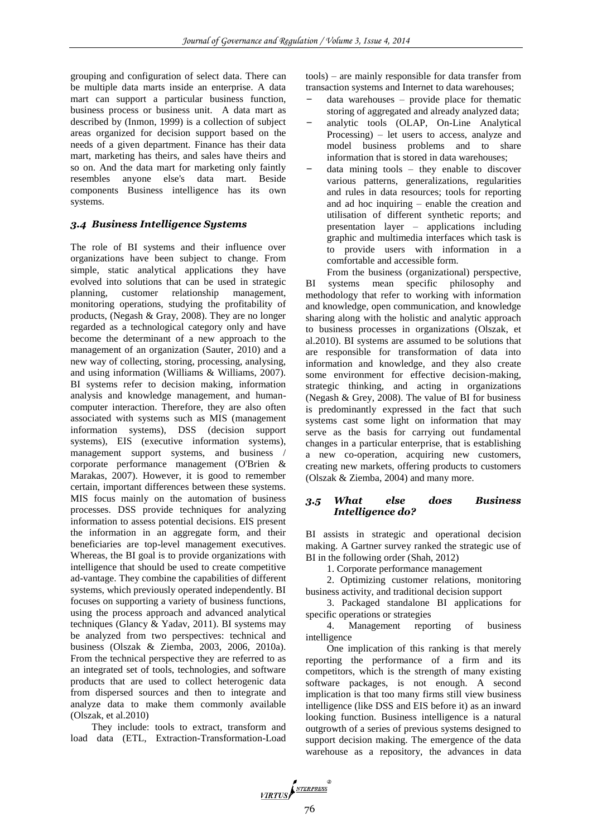grouping and configuration of select data. There can be multiple data marts inside an enterprise. A data mart can support a particular business function, business process or business unit. A data mart as described by (Inmon, 1999) is a collection of subject areas organized for decision support based on the needs of a given department. Finance has their data mart, marketing has theirs, and sales have theirs and so on. And the data mart for marketing only faintly resembles anyone else's data mart. Beside components Business intelligence has its own systems.

## *3.4 Business Intelligence Systems*

The role of BI systems and their influence over organizations have been subject to change. From simple, static analytical applications they have evolved into solutions that can be used in strategic planning, customer relationship management, monitoring operations, studying the profitability of products, (Negash & Gray, 2008). They are no longer regarded as a technological category only and have become the determinant of a new approach to the management of an organization (Sauter, 2010) and a new way of collecting, storing, processing, analysing, and using information (Williams & Williams, 2007). BI systems refer to decision making, information analysis and knowledge management, and humancomputer interaction. Therefore, they are also often associated with systems such as MIS (management information systems), DSS (decision support systems), EIS (executive information systems), management support systems, and business / corporate performance management (O'Brien & Marakas, 2007). However, it is good to remember certain, important differences between these systems. MIS focus mainly on the automation of business processes. DSS provide techniques for analyzing information to assess potential decisions. EIS present the information in an aggregate form, and their beneficiaries are top-level management executives. Whereas, the BI goal is to provide organizations with intelligence that should be used to create competitive ad-vantage. They combine the capabilities of different systems, which previously operated independently. BI focuses on supporting a variety of business functions, using the process approach and advanced analytical techniques (Glancy & Yadav, 2011). BI systems may be analyzed from two perspectives: technical and business (Olszak & Ziemba, 2003, 2006, 2010a). From the technical perspective they are referred to as an integrated set of tools, technologies, and software products that are used to collect heterogenic data from dispersed sources and then to integrate and analyze data to make them commonly available (Olszak, et al.2010)

They include: tools to extract, transform and load data (ETL, Extraction-Transformation-Load

tools) – are mainly responsible for data transfer from transaction systems and Internet to data warehouses;

- $data$  warehouses provide place for thematic storing of aggregated and already analyzed data;
- analytic tools (OLAP, On-Line Analytical Processing) – let users to access, analyze and model business problems and to share information that is stored in data warehouses;
- $data$  mining tools they enable to discover various patterns, generalizations, regularities and rules in data resources; tools for reporting and ad hoc inquiring – enable the creation and utilisation of different synthetic reports; and presentation layer – applications including graphic and multimedia interfaces which task is to provide users with information in a comfortable and accessible form.

From the business (organizational) perspective, BI systems mean specific philosophy and methodology that refer to working with information and knowledge, open communication, and knowledge sharing along with the holistic and analytic approach to business processes in organizations (Olszak, et al.2010). BI systems are assumed to be solutions that are responsible for transformation of data into information and knowledge, and they also create some environment for effective decision-making, strategic thinking, and acting in organizations (Negash & Grey, 2008). The value of BI for business is predominantly expressed in the fact that such systems cast some light on information that may serve as the basis for carrying out fundamental changes in a particular enterprise, that is establishing a new co-operation, acquiring new customers, creating new markets, offering products to customers (Olszak & Ziemba, 2004) and many more.

#### *3.5 What else does Business Intelligence do?*

BI assists in strategic and operational decision making. A Gartner survey ranked the strategic use of BI in the following order (Shah, 2012)

1. Corporate performance management

2. Optimizing customer relations, monitoring business activity, and traditional decision support

3. Packaged standalone BI applications for specific operations or strategies

4. Management reporting of business intelligence

One implication of this ranking is that merely reporting the performance of a firm and its competitors, which is the strength of many existing software packages, is not enough. A second implication is that too many firms still view business intelligence (like DSS and EIS before it) as an inward looking function. Business intelligence is a natural outgrowth of a series of previous systems designed to support decision making. The emergence of the data warehouse as a repository, the advances in data

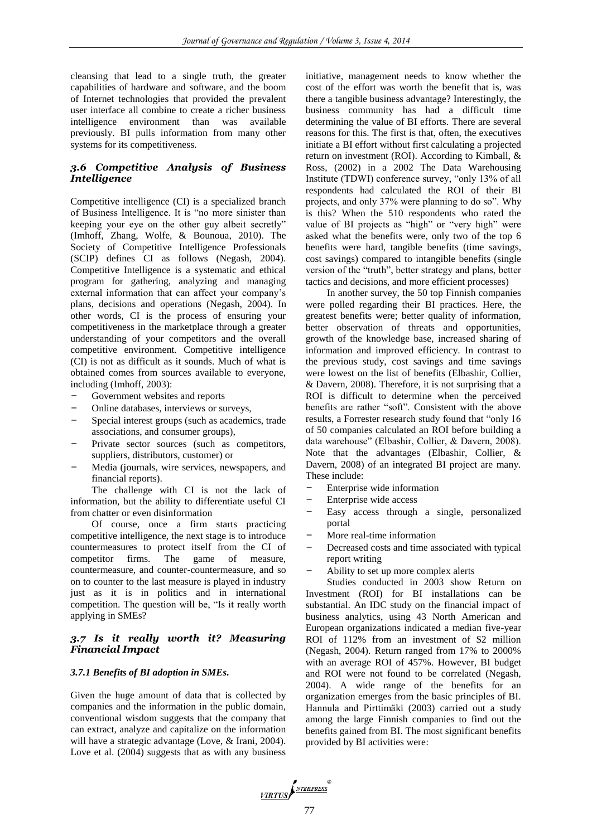cleansing that lead to a single truth, the greater capabilities of hardware and software, and the boom of Internet technologies that provided the prevalent user interface all combine to create a richer business intelligence environment than was available previously. BI pulls information from many other systems for its competitiveness.

# *3.6 Competitive Analysis of Business Intelligence*

Competitive intelligence (CI) is a specialized branch of Business Intelligence. It is "no more sinister than keeping your eye on the other guy albeit secretly" (Imhoff, Zhang, Wolfe, & Bounoua, 2010). The Society of Competitive Intelligence Professionals (SCIP) defines CI as follows (Negash, 2004). Competitive Intelligence is a systematic and ethical program for gathering, analyzing and managing external information that can affect your company's plans, decisions and operations (Negash, 2004). In other words, CI is the process of ensuring your competitiveness in the marketplace through a greater understanding of your competitors and the overall competitive environment. Competitive intelligence (CI) is not as difficult as it sounds. Much of what is obtained comes from sources available to everyone, including (Imhoff, 2003):

- Government websites and reports
- Online databases, interviews or surveys,
- Special interest groups (such as academics, trade associations, and consumer groups),
- Private sector sources (such as competitors, suppliers, distributors, customer) or
- Media (journals, wire services, newspapers, and financial reports).

The challenge with CI is not the lack of information, but the ability to differentiate useful CI from chatter or even disinformation

Of course, once a firm starts practicing competitive intelligence, the next stage is to introduce countermeasures to protect itself from the CI of competitor firms. The game of measure, countermeasure, and counter-countermeasure, and so on to counter to the last measure is played in industry just as it is in politics and in international competition. The question will be, "Is it really worth applying in SMEs?

## *3.7 Is it really worth it? Measuring Financial Impact*

## *3.7.1 Benefits of BI adoption in SMEs.*

Given the huge amount of data that is collected by companies and the information in the public domain, conventional wisdom suggests that the company that can extract, analyze and capitalize on the information will have a strategic advantage (Love, & Irani, 2004). Love et al.  $(2004)$  suggests that as with any business

initiative, management needs to know whether the cost of the effort was worth the benefit that is, was there a tangible business advantage? Interestingly, the business community has had a difficult time determining the value of BI efforts. There are several reasons for this. The first is that, often, the executives initiate a BI effort without first calculating a projected return on investment (ROI). According to Kimball, & Ross, (2002) in a 2002 The Data Warehousing Institute (TDWI) conference survey, "only 13% of all respondents had calculated the ROI of their BI projects, and only 37% were planning to do so". Why is this? When the 510 respondents who rated the value of BI projects as "high" or "very high" were asked what the benefits were, only two of the top 6 benefits were hard, tangible benefits (time savings, cost savings) compared to intangible benefits (single version of the "truth", better strategy and plans, better tactics and decisions, and more efficient processes)

In another survey, the 50 top Finnish companies were polled regarding their BI practices. Here, the greatest benefits were; better quality of information, better observation of threats and opportunities, growth of the knowledge base, increased sharing of information and improved efficiency. In contrast to the previous study, cost savings and time savings were lowest on the list of benefits (Elbashir, Collier, & Davern, 2008). Therefore, it is not surprising that a ROI is difficult to determine when the perceived benefits are rather "soft". Consistent with the above results, a Forrester research study found that "only 16 of 50 companies calculated an ROI before building a data warehouse" (Elbashir, Collier, & Davern, 2008). Note that the advantages (Elbashir, Collier, & Davern, 2008) of an integrated BI project are many. These include:

- Enterprise wide information
- Enterprise wide access<br>- Easy access through
- Easy access through a single, personalized portal
- More real-time information
- Decreased costs and time associated with typical report writing
- Ability to set up more complex alerts

Studies conducted in 2003 show Return on Investment (ROI) for BI installations can be substantial. An IDC study on the financial impact of business analytics, using 43 North American and European organizations indicated a median five-year ROI of 112% from an investment of \$2 million (Negash, 2004). Return ranged from 17% to 2000% with an average ROI of 457%. However, BI budget and ROI were not found to be correlated (Negash, 2004). A wide range of the benefits for an organization emerges from the basic principles of BI. Hannula and Pirttimäki (2003) carried out a study among the large Finnish companies to find out the benefits gained from BI. The most significant benefits provided by BI activities were:

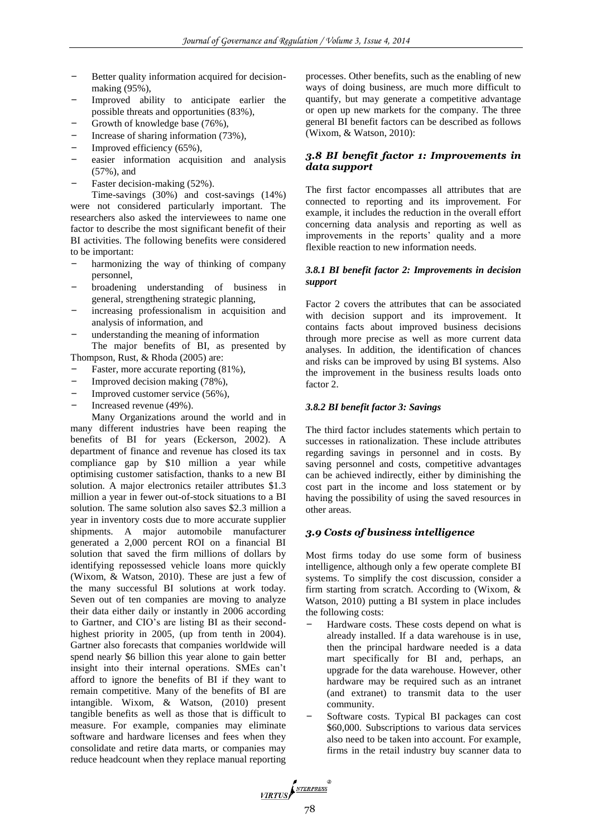- Better quality information acquired for decisionmaking (95%),
- Improved ability to anticipate earlier the possible threats and opportunities (83%),
- Growth of knowledge base (76%),
- Increase of sharing information (73%),
- Improved efficiency (65%),
- easier information acquisition and analysis (57%), and
- Faster decision-making (52%).

Time-savings (30%) and cost-savings (14%) were not considered particularly important. The researchers also asked the interviewees to name one factor to describe the most significant benefit of their BI activities. The following benefits were considered to be important:

- harmonizing the way of thinking of company personnel,
- broadening understanding of business in general, strengthening strategic planning,
- increasing professionalism in acquisition and analysis of information, and
- understanding the meaning of information The major benefits of BI, as presented by

Thompson, Rust, & Rhoda (2005) are:

- Faster, more accurate reporting  $(81\%)$ ,
- Improved decision making  $(78%)$ ,
- Improved customer service (56%),
- Increased revenue (49%).

Many Organizations around the world and in many different industries have been reaping the benefits of BI for years (Eckerson, 2002). A department of finance and revenue has closed its tax compliance gap by \$10 million a year while optimising customer satisfaction, thanks to a new BI solution. A major electronics retailer attributes \$1.3 million a year in fewer out-of-stock situations to a BI solution. The same solution also saves \$2.3 million a year in inventory costs due to more accurate supplier shipments. A major automobile manufacturer generated a 2,000 percent ROI on a financial BI solution that saved the firm millions of dollars by identifying repossessed vehicle loans more quickly (Wixom, & Watson, 2010). These are just a few of the many successful BI solutions at work today. Seven out of ten companies are moving to analyze their data either daily or instantly in 2006 according to Gartner, and CIO's are listing BI as their secondhighest priority in 2005, (up from tenth in 2004). Gartner also forecasts that companies worldwide will spend nearly \$6 billion this year alone to gain better insight into their internal operations. SMEs can't afford to ignore the benefits of BI if they want to remain competitive. Many of the benefits of BI are intangible. Wixom, & Watson, (2010) present tangible benefits as well as those that is difficult to measure. For example, companies may eliminate software and hardware licenses and fees when they consolidate and retire data marts, or companies may reduce headcount when they replace manual reporting

processes. Other benefits, such as the enabling of new ways of doing business, are much more difficult to quantify, but may generate a competitive advantage or open up new markets for the company. The three general BI benefit factors can be described as follows (Wixom, & Watson, 2010):

## *3.8 BI benefit factor 1: Improvements in data support*

The first factor encompasses all attributes that are connected to reporting and its improvement. For example, it includes the reduction in the overall effort concerning data analysis and reporting as well as improvements in the reports' quality and a more flexible reaction to new information needs.

### *3.8.1 BI benefit factor 2: Improvements in decision support*

Factor 2 covers the attributes that can be associated with decision support and its improvement. It contains facts about improved business decisions through more precise as well as more current data analyses. In addition, the identification of chances and risks can be improved by using BI systems. Also the improvement in the business results loads onto factor 2.

## *3.8.2 BI benefit factor 3: Savings*

The third factor includes statements which pertain to successes in rationalization. These include attributes regarding savings in personnel and in costs. By saving personnel and costs, competitive advantages can be achieved indirectly, either by diminishing the cost part in the income and loss statement or by having the possibility of using the saved resources in other areas.

## *3.9 Costs of business intelligence*

Most firms today do use some form of business intelligence, although only a few operate complete BI systems. To simplify the cost discussion, consider a firm starting from scratch. According to (Wixom, & Watson, 2010) putting a BI system in place includes the following costs:

- Hardware costs. These costs depend on what is already installed. If a data warehouse is in use, then the principal hardware needed is a data mart specifically for BI and, perhaps, an upgrade for the data warehouse. However, other hardware may be required such as an intranet (and extranet) to transmit data to the user community.
- Software costs. Typical BI packages can cost \$60,000. Subscriptions to various data services also need to be taken into account. For example, firms in the retail industry buy scanner data to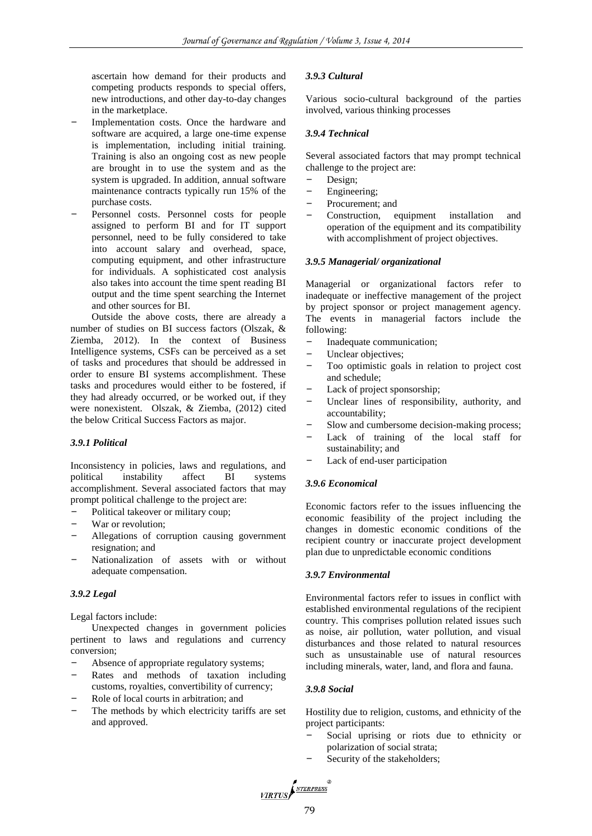ascertain how demand for their products and competing products responds to special offers, new introductions, and other day-to-day changes in the marketplace.

- Implementation costs. Once the hardware and software are acquired, a large one-time expense is implementation, including initial training. Training is also an ongoing cost as new people are brought in to use the system and as the system is upgraded. In addition, annual software maintenance contracts typically run 15% of the purchase costs.
- Personnel costs. Personnel costs for people assigned to perform BI and for IT support personnel, need to be fully considered to take into account salary and overhead, space, computing equipment, and other infrastructure for individuals. A sophisticated cost analysis also takes into account the time spent reading BI output and the time spent searching the Internet and other sources for BI.

Outside the above costs, there are already a number of studies on BI success factors (Olszak, & Ziemba, 2012). In the context of Business Intelligence systems, CSFs can be perceived as a set of tasks and procedures that should be addressed in order to ensure BI systems accomplishment. These tasks and procedures would either to be fostered, if they had already occurred, or be worked out, if they were nonexistent. Olszak, & Ziemba, (2012) cited the below Critical Success Factors as major.

#### *3.9.1 Political*

Inconsistency in policies, laws and regulations, and political instability affect BI systems accomplishment. Several associated factors that may prompt political challenge to the project are:

- Political takeover or military coup;
- War or revolution;
- Allegations of corruption causing government resignation; and
- Nationalization of assets with or without adequate compensation.

## *3.9.2 Legal*

Legal factors include:

Unexpected changes in government policies pertinent to laws and regulations and currency conversion;

- Absence of appropriate regulatory systems;
- Rates and methods of taxation including customs, royalties, convertibility of currency;
- Role of local courts in arbitration; and
- The methods by which electricity tariffs are set and approved.

### *3.9.3 Cultural*

Various socio-cultural background of the parties involved, various thinking processes

#### *3.9.4 Technical*

Several associated factors that may prompt technical challenge to the project are:

- Design;
- Engineering;
- Procurement; and
- Construction, equipment installation and operation of the equipment and its compatibility with accomplishment of project objectives.

#### *3.9.5 Managerial/ organizational*

Managerial or organizational factors refer to inadequate or ineffective management of the project by project sponsor or project management agency. The events in managerial factors include the following:

- Inadequate communication;
- Unclear objectives;
- Too optimistic goals in relation to project cost and schedule;
- Lack of project sponsorship;
- Unclear lines of responsibility, authority, and accountability;
- Slow and cumbersome decision-making process;
- Lack of training of the local staff for sustainability; and
- Lack of end-user participation

#### *3.9.6 Economical*

Economic factors refer to the issues influencing the economic feasibility of the project including the changes in domestic economic conditions of the recipient country or inaccurate project development plan due to unpredictable economic conditions

#### *3.9.7 Environmental*

Environmental factors refer to issues in conflict with established environmental regulations of the recipient country. This comprises pollution related issues such as noise, air pollution, water pollution, and visual disturbances and those related to natural resources such as unsustainable use of natural resources including minerals, water, land, and flora and fauna.

#### *3.9.8 Social*

Hostility due to religion, customs, and ethnicity of the project participants:

- Social uprising or riots due to ethnicity or polarization of social strata;
- Security of the stakeholders;

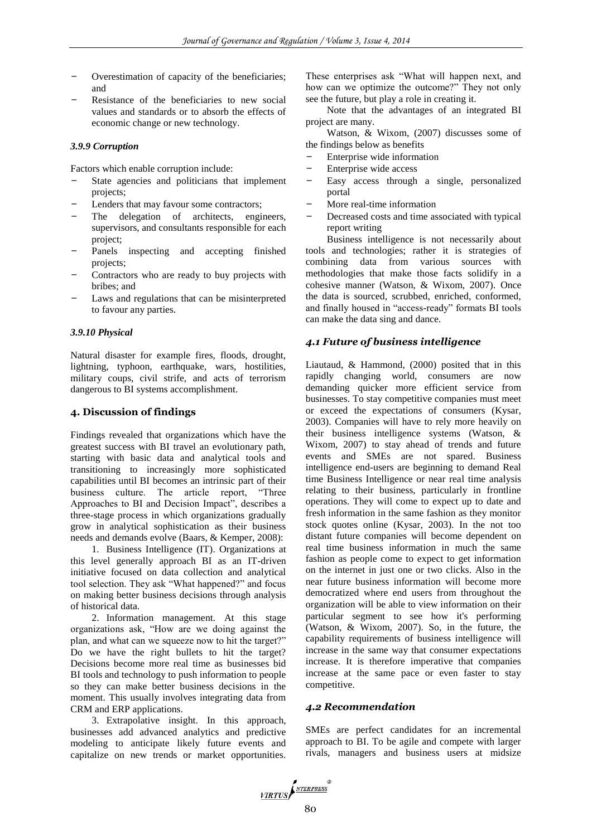- Overestimation of capacity of the beneficiaries; and
- Resistance of the beneficiaries to new social values and standards or to absorb the effects of economic change or new technology.

## *3.9.9 Corruption*

Factors which enable corruption include:

- State agencies and politicians that implement projects;
- Lenders that may favour some contractors;
- The delegation of architects, engineers, supervisors, and consultants responsible for each project;
- Panels inspecting and accepting finished projects;
- Contractors who are ready to buy projects with bribes; and
- Laws and regulations that can be misinterpreted to favour any parties.

## *3.9.10 Physical*

Natural disaster for example fires, floods, drought, lightning, typhoon, earthquake, wars, hostilities, military coups, civil strife, and acts of terrorism dangerous to BI systems accomplishment.

### **4. Discussion of findings**

Findings revealed that organizations which have the greatest success with BI travel an evolutionary path, starting with basic data and analytical tools and transitioning to increasingly more sophisticated capabilities until BI becomes an intrinsic part of their business culture. The article report, "Three Approaches to BI and Decision Impact", describes a three-stage process in which organizations gradually grow in analytical sophistication as their business needs and demands evolve (Baars, & Kemper, 2008):

1. Business Intelligence (IT). Organizations at this level generally approach BI as an IT-driven initiative focused on data collection and analytical tool selection. They ask "What happened?" and focus on making better business decisions through analysis of historical data.

2. Information management. At this stage organizations ask, "How are we doing against the plan, and what can we squeeze now to hit the target?" Do we have the right bullets to hit the target? Decisions become more real time as businesses bid BI tools and technology to push information to people so they can make better business decisions in the moment. This usually involves integrating data from CRM and ERP applications.

3. Extrapolative insight. In this approach, businesses add advanced analytics and predictive modeling to anticipate likely future events and capitalize on new trends or market opportunities.

These enterprises ask "What will happen next, and how can we optimize the outcome?" They not only see the future, but play a role in creating it.

Note that the advantages of an integrated BI project are many.

Watson, & Wixom, (2007) discusses some of the findings below as benefits

- Enterprise wide information
- Enterprise wide access
- Easy access through a single, personalized portal
- More real-time information
- Decreased costs and time associated with typical report writing

Business intelligence is not necessarily about tools and technologies; rather it is strategies of combining data from various sources with methodologies that make those facts solidify in a cohesive manner (Watson, & Wixom, 2007). Once the data is sourced, scrubbed, enriched, conformed, and finally housed in "access-ready" formats BI tools can make the data sing and dance.

## *4.1 Future of business intelligence*

Liautaud, & Hammond, (2000) posited that in this rapidly changing world, consumers are now demanding quicker more efficient service from businesses. To stay competitive companies must meet or exceed the expectations of consumers (Kysar, 2003). Companies will have to rely more heavily on their business intelligence systems (Watson, & Wixom, 2007) to stay ahead of trends and future events and SMEs are not spared. Business intelligence end-users are beginning to demand Real time Business Intelligence or near real time analysis relating to their business, particularly in frontline operations. They will come to expect up to date and fresh information in the same fashion as they monitor stock quotes online (Kysar, 2003). In the not too distant future companies will become dependent on real time business information in much the same fashion as people come to expect to get information on the internet in just one or two clicks. Also in the near future business information will become more democratized where end users from throughout the organization will be able to view information on their particular segment to see how it's performing (Watson, & Wixom, 2007). So, in the future, the capability requirements of business intelligence will increase in the same way that consumer expectations increase. It is therefore imperative that companies increase at the same pace or even faster to stay competitive.

## *4.2 Recommendation*

SMEs are perfect candidates for an incremental approach to BI. To be agile and compete with larger rivals, managers and business users at midsize

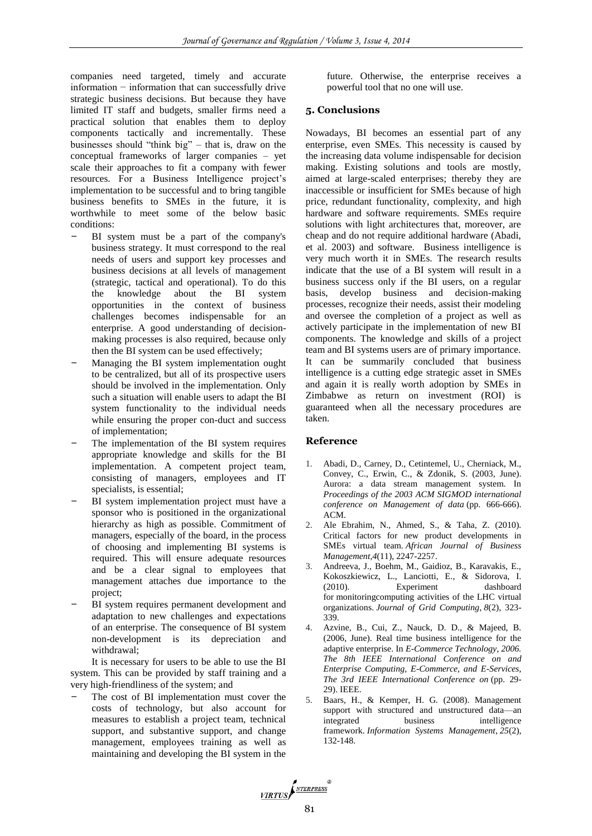companies need targeted, timely and accurate information − information that can successfully drive strategic business decisions. But because they have limited IT staff and budgets, smaller firms need a practical solution that enables them to deploy components tactically and incrementally. These businesses should "think big" – that is, draw on the conceptual frameworks of larger companies – yet scale their approaches to fit a company with fewer resources. For a Business Intelligence project's implementation to be successful and to bring tangible business benefits to SMEs in the future, it is worthwhile to meet some of the below basic conditions:

- BI system must be a part of the company's business strategy. It must correspond to the real needs of users and support key processes and business decisions at all levels of management (strategic, tactical and operational). To do this the knowledge about the BI system opportunities in the context of business challenges becomes indispensable for an enterprise. A good understanding of decisionmaking processes is also required, because only then the BI system can be used effectively;
- Managing the BI system implementation ought to be centralized, but all of its prospective users should be involved in the implementation. Only such a situation will enable users to adapt the BI system functionality to the individual needs while ensuring the proper con-duct and success of implementation;
- The implementation of the BI system requires appropriate knowledge and skills for the BI implementation. A competent project team, consisting of managers, employees and IT specialists, is essential;
- BI system implementation project must have a sponsor who is positioned in the organizational hierarchy as high as possible. Commitment of managers, especially of the board, in the process of choosing and implementing BI systems is required. This will ensure adequate resources and be a clear signal to employees that management attaches due importance to the project;
- BI system requires permanent development and adaptation to new challenges and expectations of an enterprise. The consequence of BI system non-development is its depreciation and withdrawal;

It is necessary for users to be able to use the BI system. This can be provided by staff training and a very high-friendliness of the system; and

The cost of BI implementation must cover the costs of technology, but also account for measures to establish a project team, technical support, and substantive support, and change management, employees training as well as maintaining and developing the BI system in the

future. Otherwise, the enterprise receives a powerful tool that no one will use.

# **5. Conclusions**

Nowadays, BI becomes an essential part of any enterprise, even SMEs. This necessity is caused by the increasing data volume indispensable for decision making. Existing solutions and tools are mostly, aimed at large-scaled enterprises; thereby they are inaccessible or insufficient for SMEs because of high price, redundant functionality, complexity, and high hardware and software requirements. SMEs require solutions with light architectures that, moreover, are cheap and do not require additional hardware (Abadi, et al. 2003) and software. Business intelligence is very much worth it in SMEs. The research results indicate that the use of a BI system will result in a business success only if the BI users, on a regular basis, develop business and decision-making processes, recognize their needs, assist their modeling and oversee the completion of a project as well as actively participate in the implementation of new BI components. The knowledge and skills of a project team and BI systems users are of primary importance. It can be summarily concluded that business intelligence is a cutting edge strategic asset in SMEs and again it is really worth adoption by SMEs in Zimbabwe as return on investment (ROI) is guaranteed when all the necessary procedures are taken.

## **Reference**

- 1. Abadi, D., Carney, D., Cetintemel, U., Cherniack, M., Convey, C., Erwin, C., & Zdonik, S. (2003, June). Aurora: a data stream management system. In *Proceedings of the 2003 ACM SIGMOD international conference on Management of data* (pp. 666-666). ACM.
- 2. Ale Ebrahim, N., Ahmed, S., & Taha, Z. (2010). Critical factors for new product developments in SMEs virtual team. *African Journal of Business Management*,*4*(11), 2247-2257.
- 3. Andreeva, J., Boehm, M., Gaidioz, B., Karavakis, E., Kokoszkiewicz, L., Lanciotti, E., & Sidorova, I. (2010). Experiment dashboard for monitoringcomputing activities of the LHC virtual organizations. *Journal of Grid Computing*, *8*(2), 323- 339.
- 4. Azvine, B., Cui, Z., Nauck, D. D., & Majeed, B. (2006, June). Real time business intelligence for the adaptive enterprise. In *E-Commerce Technology, 2006. The 8th IEEE International Conference on and Enterprise Computing, E-Commerce, and E-Services, The 3rd IEEE International Conference on* (pp. 29- 29). IEEE.
- 5. Baars, H., & Kemper, H. G. (2008). Management support with structured and unstructured data—an integrated business intelligence framework. *Information Systems Management*, *25*(2), 132-148.

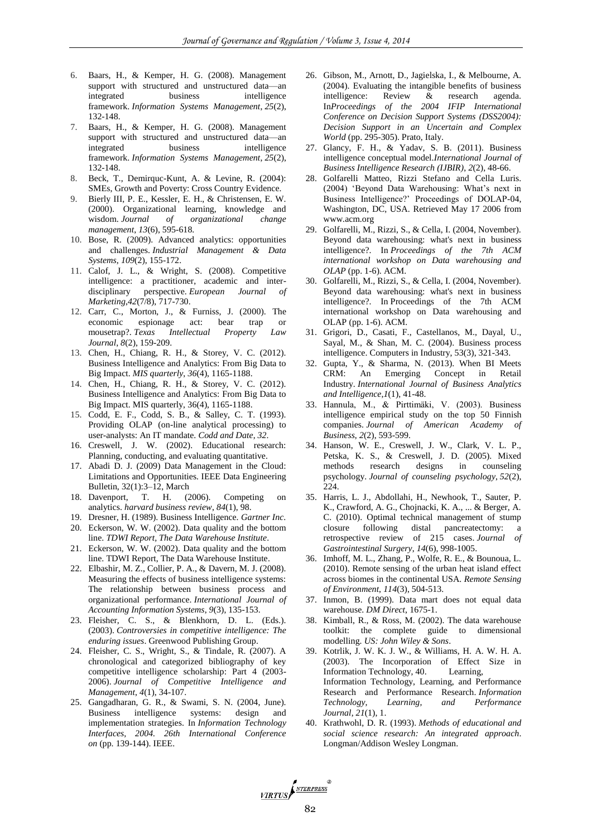- 6. Baars, H., & Kemper, H. G. (2008). Management support with structured and unstructured data—an integrated business intelligence framework. *Information Systems Management*, *25*(2), 132-148.
- 7. Baars, H., & Kemper, H. G. (2008). Management support with structured and unstructured data—an integrated business intelligence framework. *Information Systems Management*, *25*(2), 132-148.
- 8. Beck, T., Demirquc-Kunt, A. & Levine, R. (2004): SMEs, Growth and Poverty: Cross Country Evidence.
- 9. Bierly III, P. E., Kessler, E. H., & Christensen, E. W. (2000). Organizational learning, knowledge and wisdom. *Journal of organizational change management*, *13*(6), 595-618.
- 10. Bose, R. (2009). Advanced analytics: opportunities and challenges. *Industrial Management & Data Systems*, *109*(2), 155-172.
- 11. Calof, J. L., & Wright, S. (2008). Competitive intelligence: a practitioner, academic and interdisciplinary perspective. *European Journal of Marketing*,*42*(7/8), 717-730.
- 12. Carr, C., Morton, J., & Furniss, J. (2000). The economic espionage act: bear trap or mousetrap?. *Texas Intellectual Property Law Journal*, *8*(2), 159-209.
- 13. Chen, H., Chiang, R. H., & Storey, V. C. (2012). Business Intelligence and Analytics: From Big Data to Big Impact. *MIS quarterly*, *36*(4), 1165-1188.
- 14. Chen, H., Chiang, R. H., & Storey, V. C. (2012). Business Intelligence and Analytics: From Big Data to Big Impact. MIS quarterly, 36(4), 1165-1188.
- 15. Codd, E. F., Codd, S. B., & Salley, C. T. (1993). Providing OLAP (on-line analytical processing) to user-analysts: An IT mandate. *Codd and Date*, *32*.
- 16. Creswell, J. W. (2002). Educational research: Planning, conducting, and evaluating quantitative.
- 17. Abadi D. J. (2009) Data Management in the Cloud: Limitations and Opportunities. IEEE Data Engineering Bulletin, 32(1):3–12, March
- 18. Davenport, T. H. (2006). Competing on analytics. *harvard business review*, *84*(1), 98.
- 19. Dresner, H. (1989). Business Intelligence. *Gartner Inc*. 20. Eckerson, W. W. (2002). Data quality and the bottom
- line. *TDWI Report, The Data Warehouse Institute*. 21. Eckerson, W. W. (2002). Data quality and the bottom
- line. TDWI Report, The Data Warehouse Institute.
- 22. Elbashir, M. Z., Collier, P. A., & Davern, M. J. (2008). Measuring the effects of business intelligence systems: The relationship between business process and organizational performance. *International Journal of Accounting Information Systems*, *9*(3), 135-153.
- 23. Fleisher, C. S., & Blenkhorn, D. L. (Eds.). (2003). *Controversies in competitive intelligence: The enduring issues*. Greenwood Publishing Group.
- 24. Fleisher, C. S., Wright, S., & Tindale, R. (2007). A chronological and categorized bibliography of key competitive intelligence scholarship: Part 4 (2003- 2006). *Journal of Competitive Intelligence and Management*, *4*(1), 34-107.
- 25. Gangadharan, G. R., & Swami, S. N. (2004, June). Business intelligence systems: design and implementation strategies. In *Information Technology Interfaces, 2004. 26th International Conference on* (pp. 139-144). IEEE.
- 26. Gibson, M., Arnott, D., Jagielska, I., & Melbourne, A. (2004). Evaluating the intangible benefits of business intelligence: Review & research agenda. In*Proceedings of the 2004 IFIP International Conference on Decision Support Systems (DSS2004): Decision Support in an Uncertain and Complex World* (pp. 295-305). Prato, Italy.
- 27. Glancy, F. H., & Yadav, S. B. (2011). Business intelligence conceptual model.*International Journal of Business Intelligence Research (IJBIR)*, *2*(2), 48-66.
- 28. Golfarelli Matteo, Rizzi Stefano and Cella Luris. (2004) 'Beyond Data Warehousing: What's next in Business Intelligence?' Proceedings of DOLAP-04, Washington, DC, USA. Retrieved May 17 2006 from www.acm.org
- 29. Golfarelli, M., Rizzi, S., & Cella, I. (2004, November). Beyond data warehousing: what's next in business intelligence?. In *Proceedings of the 7th ACM international workshop on Data warehousing and OLAP* (pp. 1-6). ACM.
- 30. Golfarelli, M., Rizzi, S., & Cella, I. (2004, November). Beyond data warehousing: what's next in business intelligence?. In Proceedings of the 7th ACM international workshop on Data warehousing and OLAP (pp. 1-6). ACM.
- 31. Grigori, D., Casati, F., Castellanos, M., Dayal, U., Sayal, M., & Shan, M. C. (2004). Business process intelligence. Computers in Industry, 53(3), 321-343.
- 32. Gupta, Y., & Sharma, N. (2013). When BI Meets CRM: An Emerging Concept in Retail Industry. *International Journal of Business Analytics and Intelligence*,*1*(1), 41-48.
- 33. Hannula, M., & Pirttimäki, V. (2003). Business intelligence empirical study on the top 50 Finnish companies. *Journal of American Academy of Business*, *2*(2), 593-599.
- 34. Hanson, W. E., Creswell, J. W., Clark, V. L. P., Petska, K. S., & Creswell, J. D. (2005). Mixed methods research designs in counseling psychology. *Journal of counseling psychology*, *52*(2), 224.
- 35. Harris, L. J., Abdollahi, H., Newhook, T., Sauter, P. K., Crawford, A. G., Chojnacki, K. A., ... & Berger, A. C. (2010). Optimal technical management of stump closure following distal pancreatectomy: a retrospective review of 215 cases. *Journal of Gastrointestinal Surgery*, *14*(6), 998-1005.
- 36. Imhoff, M. L., Zhang, P., Wolfe, R. E., & Bounoua, L. (2010). Remote sensing of the urban heat island effect across biomes in the continental USA. *Remote Sensing of Environment*, *114*(3), 504-513.
- 37. Inmon, B. (1999). Data mart does not equal data warehouse. *DM Direct*, 1675-1.
- 38. Kimball, R., & Ross, M. (2002). The data warehouse toolkit: the complete guide to dimensional modelling. *US: John Wiley & Sons*.
- 39. Kotrlik, J. W. K. J. W., & Williams, H. A. W. H. A. (2003). The Incorporation of Effect Size in Information Technology, 40. Learning, Information Technology, Learning, and Performance Research and Performance Research. *Information Technology, Learning, and Performance Journal*, *21*(1), 1.
- 40. Krathwohl, D. R. (1993). *Methods of educational and social science research: An integrated approach*. Longman/Addison Wesley Longman.